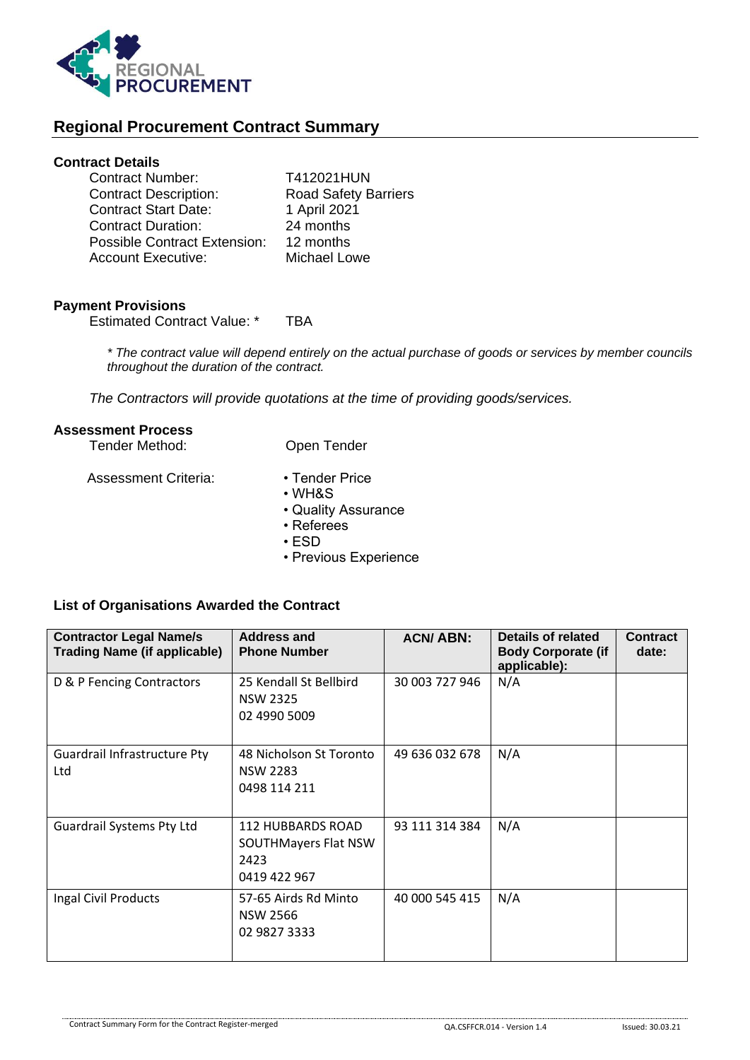

# **Regional Procurement Contract Summary**

## **Contract Details**

| <b>Contract Number:</b>             | T412021HUN                  |
|-------------------------------------|-----------------------------|
| <b>Contract Description:</b>        | <b>Road Safety Barriers</b> |
| <b>Contract Start Date:</b>         | 1 April 2021                |
| <b>Contract Duration:</b>           | 24 months                   |
| <b>Possible Contract Extension:</b> | 12 months                   |
| <b>Account Executive:</b>           | Michael Lowe                |

### **Payment Provisions**

Estimated Contract Value: \* TBA

*\* The contract value will depend entirely on the actual purchase of goods or services by member councils throughout the duration of the contract.*

*The Contractors will provide quotations at the time of providing goods/services.*

#### **Assessment Process**

| Tender Method:       | Open Tender    |
|----------------------|----------------|
| Assessment Criteria: | • Tender Price |

- WH&S
- Quality Assurance
- Referees
- ESD
- Previous Experience

### **List of Organisations Awarded the Contract**

| <b>Contractor Legal Name/s</b><br><b>Trading Name (if applicable)</b> | Address and<br><b>Phone Number</b>                                | <b>ACN/ABN:</b> | Details of related<br><b>Body Corporate (if</b><br>applicable): | <b>Contract</b><br>date: |
|-----------------------------------------------------------------------|-------------------------------------------------------------------|-----------------|-----------------------------------------------------------------|--------------------------|
| D & P Fencing Contractors                                             | 25 Kendall St Bellbird<br><b>NSW 2325</b><br>02 4990 5009         | 30 003 727 946  | N/A                                                             |                          |
| Guardrail Infrastructure Pty<br>Ltd                                   | 48 Nicholson St Toronto<br><b>NSW 2283</b><br>0498 114 211        | 49 636 032 678  | N/A                                                             |                          |
| <b>Guardrail Systems Pty Ltd</b>                                      | 112 HUBBARDS ROAD<br>SOUTHMayers Flat NSW<br>2423<br>0419 422 967 | 93 111 314 384  | N/A                                                             |                          |
| Ingal Civil Products                                                  | 57-65 Airds Rd Minto<br><b>NSW 2566</b><br>02 9827 3333           | 40 000 545 415  | N/A                                                             |                          |